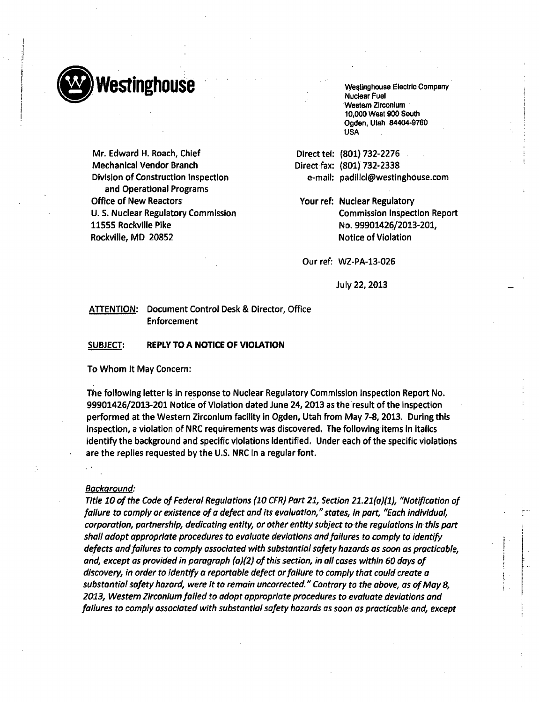

Mr. Edward H. Roach, Chief Mechanical Vendor Branch Division of Construction Inspection and Operational Programs Office of New Reactors U. S. Nuclear Regulatory Commission 11555 Rockville Pike Rockville, MD 20852

Nuclear Fuel Western Zirconium 10,000 West 900 South Ogden, Utah 84404-9760 USA

(801) 732-2276 Direct tel: (801) 732-2338 Direct fax: e-mail: padillcl@westinghouse.con

Your ref: Nuclear Regulatory Commission Inspection Report No. 99901426/2013-201, Notice of Violation

Our ref: WZ-PA-13-026

July 22, 2013

# ATTENTION: Document Control Desk & Director, Office Enforcement

#### SUBJECT: REPLY TO A NOTICE OF VIOLATION

To Whom It May Concern:

The following letter is in response to Nuclear Regulatory Commission Inspection Report No. 99901426/2013-201 Notice of Violation dated June 24, 2013 as the result of the Inspection performed at the Western Zirconium facility in Ogden, Utah from May 7-8, 2013. During this inspection, a violation of NRC requirements was discovered. The following items in Italics identify the background and specific violations identified. Under each of the specific violations are the replies requested by the U.S. NRC in a regular font.

#### *Background:*

*Title 10 of the Code of Federal Regulations (10 CFR) Part 21, Section 21.21(a)(1), "Notification of failure to comply or existence of a defect and its evaluation," states, in part, "Each individual, corporation, partnership, dedicating entity, or other entity subject to the regulations in this part shall adopt appropriate procedures to evaluate deviations and failures to comply to identify defects and failures to comply associated with substantial safety hazards as soon as practicable, and, except as provided in paragraph (a)(2) of this section, in all cases within 60 days of discovery, in order to identify a reportable defect or failure to comply that could create a substantial safety hazard, were it to remain uncorrected." Contrary to the above, as of May 8, 2013, Western Zirconium failed to adopt appropriate procedures to evaluate deviations and failures to comply associated with substantial safety hazards as soon as practicable and, except*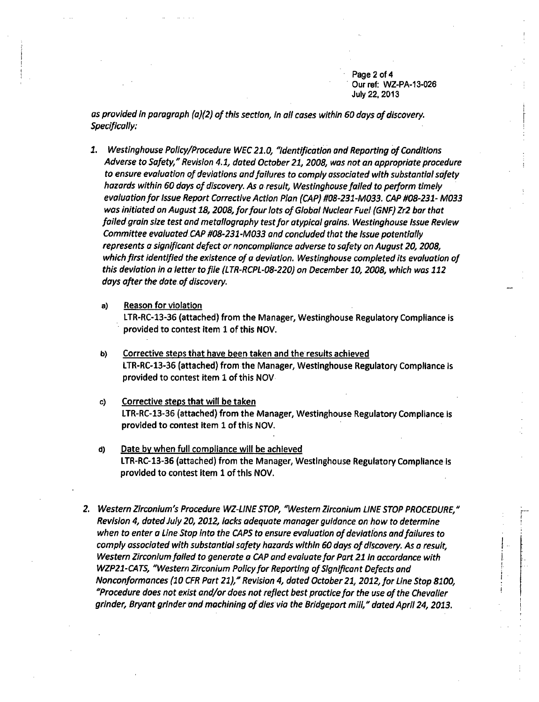Page 2 of 4 Our ref: WZ-PA-13-026 July 22, 2013

*as provided* In *paragraph (a)(2) of this section, in all cases within 60* days *of discovery. Specifically:*

- *1. Westinghouse Policy/Procedure WEC 21.0, "Identification and Reporting of Conditions Adverse to Safety," Revision 4.1, dated October 21, 2008, was not an appropriate procedure to ensure evaluation of deviations and failures to comply associated with substantial safety hazards within 60 days of discovery. As* **a** *result, Westinghouse failed to perform timely evaluation for Issue Report Corrective Action Plan (CAP) #08-231-M033. CAP #08-231- M033 was initiated on August 18, 2008, for four lots of Global Nuclear Fuel (GNF) Zr2 bar that* failed *grain size test and meta/Iography test for atypical grains. Westinghouse Issue Review Committee evaluated.CAP #08-231 -M033 and concluded that the Issue potentially represents a significant defect or noncompliance adverse to safety on August 20, 2008, which first identified the existence of* **a** *deviation. Westinghouse completed its evaluation of this deviation* In **a** *letter to file (LTR-RCPL-08-220) on December 10, 2008, which was 112 days after the dote. of discovery.*
	- a) Reason for violation LTR-RC-13-36 (attached) from the Manager, Westinghouse Regulatory Compliance is provided to contest Item 1 of this NOV.
	- **b)** Corrective steps that have been taken and the results achieved LTR-RC-13-36 (attached) from the Manager, Westinghouse Regulatory Compliance Is provided to contest item 1 of this NOV
	- c) Corrective steps that will be taken LTR-RC-13-36 (attached) from the Manager, Westinghouse Regulatory Compliance is provided to contest item 1 of this NOV.
	- **d)** Date by when full compliance will be achieved LTR-RC-13-36 (attached) from the Manager, Westinghouse Regulatory Compliance Is provided to contest item 1 of this NOV.
- *2. Western Zirconlum's Procedure WZ-LINE STOP,* 'Western *Zirconium LINE STOP PROCEDURE," Revision 4, dated July 20, 2012, locks adequate manager guidance on how to determine when to enter* **a** *Line Stop into the CAPS to ensure evaluation of deviations and failures to comply associated with substantial safety hazards within 60 days of discovery. As* **a** *result, Western Zirconium failed to generate a CAP and evaluate for Part 21 In accordance with WZP21-CATS, "Western Zirconium Policy for Reporting of Significant Defects and Nonconformances (10 CFR Part 21)," Revision 4, dated October 21, 2012, for Line Stop 8100, "Procedure does not exist and/or does not reflect best practice for the use of the Chevalier grinder, Bryant grinder* and *machining of dies via the Bridgeport mill," dated April 24, 2013.*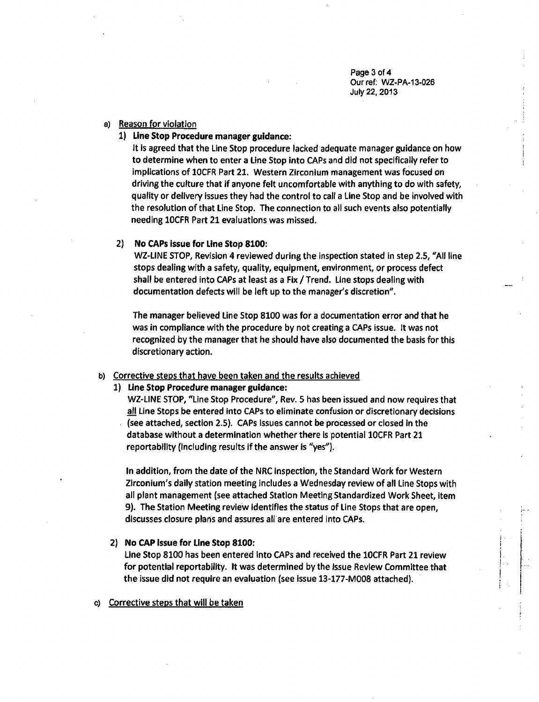Page 3 of 4 Our ref: WZ-PA-13-026 July 22, 2013

# a) Reason for violation

1) Line Stop Procedure manager guidance:

It Is agreed that the Line Stop procedure lacked adequate manager guidance on how to determine when to enter a Line Stop into CAPs and did not specifically refer to implications of 1OCFR Part 21. Western Zirconium management was focused on driving the culture that if anyone felt uncomfortable with anything to do with safety, quality or delivery issues they had the control to call a Line Stop and be involved with the resolution of that Line Stop. The connection to all such events also potentially needing 1OCFR Part 21 evaluations was missed.

# 2) No CAPs issue for Line Stop 8100:

WZ-LINE STOP, Revision 4 reviewed during the inspection stated in step 2.5, "All line stops dealing with a safety, quality, equipment, environment, or process defect shall be entered into CAPs at least as a Fix / Trend. Line stops dealing with documentation defects will be left up to the manager's discretion".

The manager believed Line Stop 8100 was for a documentation error and that he was in compliance with the procedure by not creating a CAPs issue. it was not recognized by the manager that he should have also documented the basis for this discretionary action.

# b) Corrective steps that have been taken and the results achieved

1) Line Stop Procedure manager guidance:

WZ-LINE STOP, "Line Stop Procedure", Rev. 5 has been issued and now requires that all Line Stops be entered into CAPs to eliminate confusion or discretionary decisions (see attached, section 2.5). CAPs issues cannot be processed or closed in the database without a determination whether there is potential 10CFR Part 21 reportability (including results if the answer is "yes").

In addition, from the date of the NRC Inspection, the Standard Work for Western Zirconium's daily station meeting includes a Wednesday review of all Line Stops with all plant management (see attached Station Meeting Standardized Work Sheet, item 9). The Station Meeting review identifies the status of Line Stops that are open, discusses closure plans and assures all are entered into CAPs.

### 2) No CAP Issue for Line Stop 8100:

Line Stop 8100 has been entered into CAPs and received the 1OCFR Part 21 review for potential reportability. It was determined by the Issue Review Committee that the issue did not require an evaluation (see issue 13-177-M008 attached).

## c) Corrective steps that will be taken